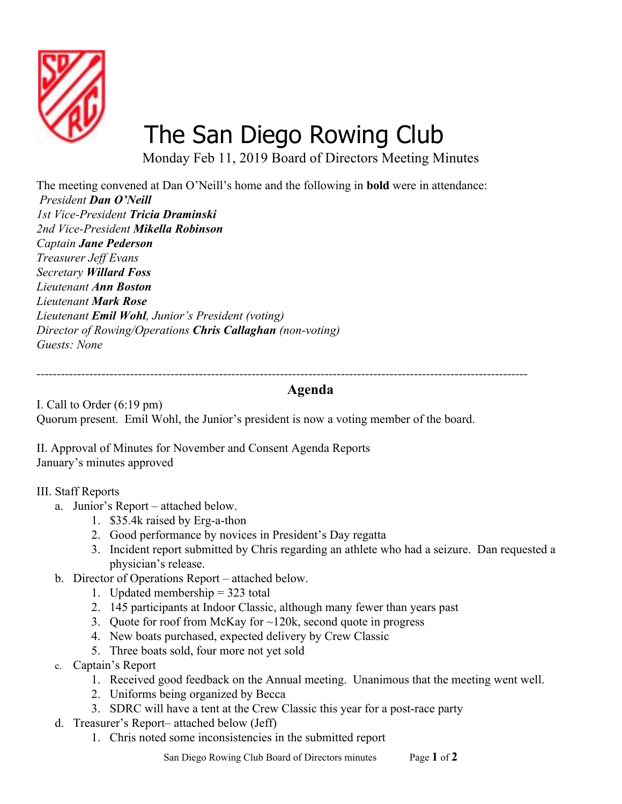

## [The San Diego Rowing Club](http://www.sandiegorowing.org/)

Monday Feb 11, 2019 Board of Directors Meeting Minutes

The meeting convened at Dan O'Neill's home and the following in **bold** were in attendance:  *President Dan O'Neill 1st Vice-President Tricia Draminski 2nd Vice-President Mikella Robinson Captain Jane Pederson Treasurer Jeff Evans Secretary Willard Foss Lieutenant Ann Boston Lieutenant Mark Rose Lieutenant Emil Wohl, Junior's President (voting) Director of Rowing/Operations Chris Callaghan (non-voting) Guests: None*

## **Agenda**

*-------------------------------------------------------------------------------------------------------------------------*

I. Call to Order (6:19 pm) Quorum present. Emil Wohl, the Junior's president is now a voting member of the board.

II. Approval of Minutes for November and Consent Agenda Reports January's minutes approved

## III. Staff Reports

- a. Junior's Report attached below.
	- 1. \$35.4k raised by Erg-a-thon
	- 2. Good performance by novices in President's Day regatta
	- 3. Incident report submitted by Chris regarding an athlete who had a seizure. Dan requested a physician's release.
- b. Director of Operations Report attached below.
	- 1. Updated membership = 323 total
	- 2. 145 participants at Indoor Classic, although many fewer than years past
	- 3. Quote for roof from McKay for ~120k, second quote in progress
	- 4. New boats purchased, expected delivery by Crew Classic
	- 5. Three boats sold, four more not yet sold
- c. Captain's Report
	- 1. Received good feedback on the Annual meeting. Unanimous that the meeting went well.
	- 2. Uniforms being organized by Becca
	- 3. SDRC will have a tent at the Crew Classic this year for a post-race party
- d. Treasurer's Report– attached below (Jeff)
	- 1. Chris noted some inconsistencies in the submitted report